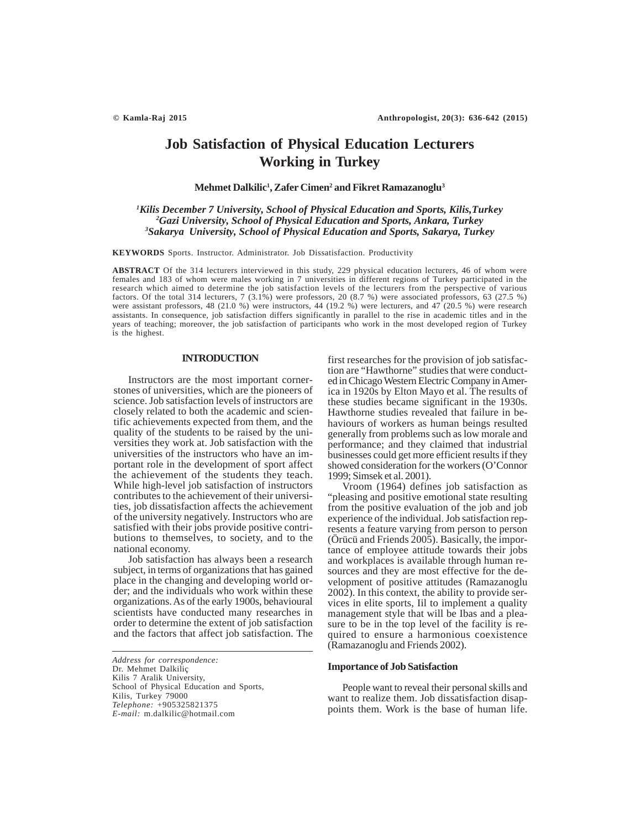# **Job Satisfaction of Physical Education Lecturers Working in Turkey**

## **Mehmet Dalkilic1 , Zafer Cimen2 and Fikret Ramazanoglu3**

# *1 Kilis December 7 University, School of Physical Education and Sports, Kilis,Turkey 2 Gazi University, School of Physical Education and Sports, Ankara, Turkey 3 Sakarya University, School of Physical Education and Sports, Sakarya, Turkey*

**KEYWORDS** Sports. Instructor. Administrator. Job Dissatisfaction. Productivity

**ABSTRACT** Of the 314 lecturers interviewed in this study, 229 physical education lecturers, 46 of whom were females and 183 of whom were males working in 7 universities in different regions of Turkey participated in the research which aimed to determine the job satisfaction levels of the lecturers from the perspective of various factors. Of the total 314 lecturers, 7 (3.1%) were professors, 20 (8.7 %) were associated professors, 63 (27.5 %) were assistant professors, 48 (21.0 %) were instructors, 44 (19.2 %) were lecturers, and 47 (20.5 %) were research assistants. In consequence, job satisfaction differs significantly in parallel to the rise in academic titles and in the years of teaching; moreover, the job satisfaction of participants who work in the most developed region of Turkey is the highest.

## **INTRODUCTION**

Instructors are the most important cornerstones of universities, which are the pioneers of science. Job satisfaction levels of instructors are closely related to both the academic and scientific achievements expected from them, and the quality of the students to be raised by the universities they work at. Job satisfaction with the universities of the instructors who have an important role in the development of sport affect the achievement of the students they teach. While high-level job satisfaction of instructors contributes to the achievement of their universities, job dissatisfaction affects the achievement of the university negatively. Instructors who are satisfied with their jobs provide positive contributions to themselves, to society, and to the national economy.

Job satisfaction has always been a research subject, in terms of organizations that has gained place in the changing and developing world order; and the individuals who work within these organizations. As of the early 1900s, behavioural scientists have conducted many researches in order to determine the extent of job satisfaction and the factors that affect job satisfaction. The

*Telephone:* +905325821375

first researches for the provision of job satisfaction are "Hawthorne" studies that were conducted in Chicago Western Electric Company in America in 1920s by Elton Mayo et al. The results of these studies became significant in the 1930s. Hawthorne studies revealed that failure in behaviours of workers as human beings resulted generally from problems such as low morale and performance; and they claimed that industrial businesses could get more efficient results if they showed consideration for the workers (O'Connor 1999; Simsek et al. 2001).

Vroom (1964) defines job satisfaction as "pleasing and positive emotional state resulting from the positive evaluation of the job and job experience of the individual. Job satisfaction represents a feature varying from person to person (Örücü and Friends 2005). Basically, the importance of employee attitude towards their jobs and workplaces is available through human resources and they are most effective for the development of positive attitudes (Ramazanoglu 2002). In this context, the ability to provide services in elite sports, Iil to implement a quality management style that will be Ibas and a pleasure to be in the top level of the facility is required to ensure a harmonious coexistence (Ramazanoglu and Friends 2002).

### **Importance of Job Satisfaction**

People want to reveal their personal skills and want to realize them. Job dissatisfaction disappoints them. Work is the base of human life.

*Address for correspondence:* Dr. Mehmet Dalkiliç Kilis 7 Aralik University, School of Physical Education and Sports, Kilis, Turkey 79000

*E-mail:* m.dalkilic@hotmail.com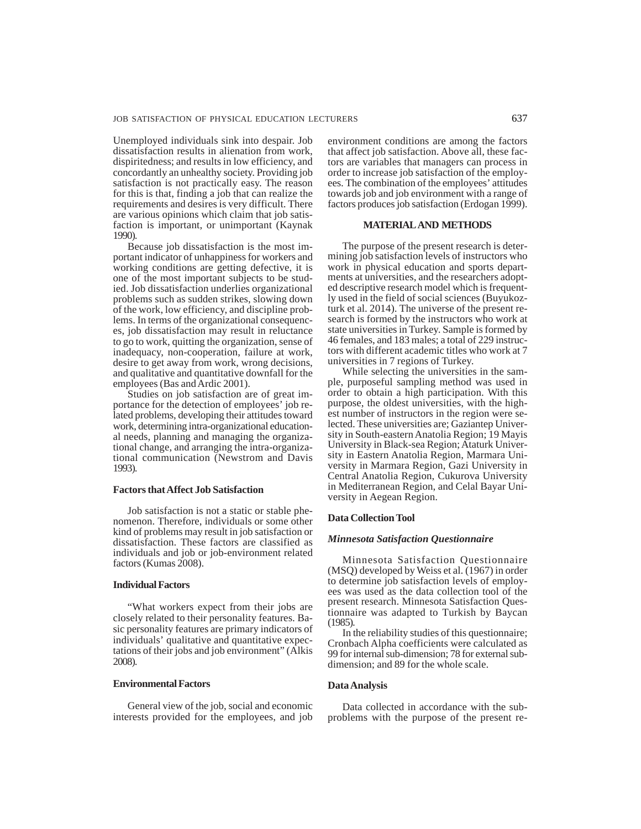Unemployed individuals sink into despair. Job dissatisfaction results in alienation from work, dispiritedness; and results in low efficiency, and concordantly an unhealthy society. Providing job satisfaction is not practically easy. The reason for this is that, finding a job that can realize the requirements and desires is very difficult. There are various opinions which claim that job satisfaction is important, or unimportant (Kaynak 1990).

Because job dissatisfaction is the most important indicator of unhappiness for workers and working conditions are getting defective, it is one of the most important subjects to be studied. Job dissatisfaction underlies organizational problems such as sudden strikes, slowing down of the work, low efficiency, and discipline problems. In terms of the organizational consequences, job dissatisfaction may result in reluctance to go to work, quitting the organization, sense of inadequacy, non-cooperation, failure at work, desire to get away from work, wrong decisions, and qualitative and quantitative downfall for the employees (Bas and Ardic 2001).

Studies on job satisfaction are of great importance for the detection of employees' job related problems, developing their attitudes toward work, determining intra-organizational educational needs, planning and managing the organizational change, and arranging the intra-organizational communication (Newstrom and Davis 1993).

## **Factors that Affect Job Satisfaction**

Job satisfaction is not a static or stable phenomenon. Therefore, individuals or some other kind of problems may result in job satisfaction or dissatisfaction. These factors are classified as individuals and job or job-environment related factors (Kumas 2008).

#### **Individual Factors**

"What workers expect from their jobs are closely related to their personality features. Basic personality features are primary indicators of individuals' qualitative and quantitative expectations of their jobs and job environment" (Alkis 2008).

### **Environmental Factors**

General view of the job, social and economic interests provided for the employees, and job environment conditions are among the factors that affect job satisfaction. Above all, these factors are variables that managers can process in order to increase job satisfaction of the employees. The combination of the employees' attitudes towards job and job environment with a range of factors produces job satisfaction (Erdogan 1999).

# **MATERIAL AND METHODS**

The purpose of the present research is determining job satisfaction levels of instructors who work in physical education and sports departments at universities, and the researchers adopted descriptive research model which is frequently used in the field of social sciences (Buyukozturk et al. 2014). The universe of the present research is formed by the instructors who work at state universities in Turkey. Sample is formed by 46 females, and 183 males; a total of 229 instructors with different academic titles who work at 7 universities in 7 regions of Turkey.

While selecting the universities in the sample, purposeful sampling method was used in order to obtain a high participation. With this purpose, the oldest universities, with the highest number of instructors in the region were selected. These universities are; Gaziantep University in South-eastern Anatolia Region; 19 Mayis University in Black-sea Region; Ataturk University in Eastern Anatolia Region, Marmara University in Marmara Region, Gazi University in Central Anatolia Region, Cukurova University in Mediterranean Region, and Celal Bayar University in Aegean Region.

## **Data Collection Tool**

## *Minnesota Satisfaction Questionnaire*

Minnesota Satisfaction Questionnaire (MSQ) developed by Weiss et al. (1967) in order to determine job satisfaction levels of employees was used as the data collection tool of the present research. Minnesota Satisfaction Questionnaire was adapted to Turkish by Baycan (1985).

In the reliability studies of this questionnaire; Cronbach Alpha coefficients were calculated as 99 for internal sub-dimension; 78 for external subdimension; and 89 for the whole scale.

# **Data Analysis**

Data collected in accordance with the subproblems with the purpose of the present re-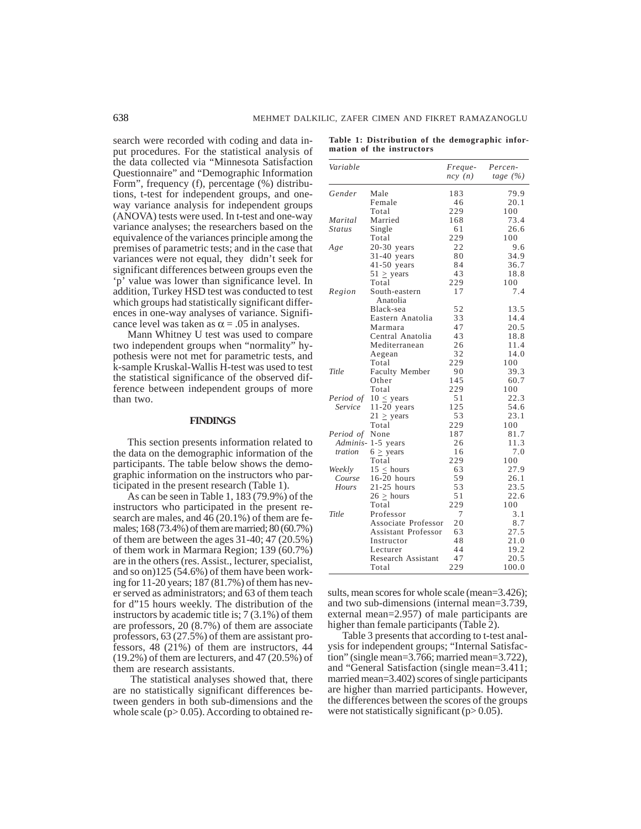search were recorded with coding and data input procedures. For the statistical analysis of the data collected via "Minnesota Satisfaction Questionnaire" and "Demographic Information Form", frequency (f), percentage (%) distributions, t-test for independent groups, and oneway variance analysis for independent groups (ANOVA) tests were used. In t-test and one-way variance analyses; the researchers based on the equivalence of the variances principle among the premises of parametric tests; and in the case that variances were not equal, they didn't seek for significant differences between groups even the 'p' value was lower than significance level. In addition, Turkey HSD test was conducted to test which groups had statistically significant differences in one-way analyses of variance. Significance level was taken as  $\alpha = .05$  in analyses.

Mann Whitney U test was used to compare two independent groups when "normality" hypothesis were not met for parametric tests, and k-sample Kruskal-Wallis H-test was used to test the statistical significance of the observed difference between independent groups of more than two.

## **FINDINGS**

This section presents information related to the data on the demographic information of the participants. The table below shows the demographic information on the instructors who participated in the present research (Table 1).

As can be seen in Table 1, 183 (79.9%) of the instructors who participated in the present research are males, and  $46(20.1\%)$  of them are females; 168 (73.4%) of them are married; 80 (60.7%) of them are between the ages 31-40; 47 (20.5%) of them work in Marmara Region; 139 (60.7%) are in the others (res. Assist., lecturer, specialist, and so on)125 (54.6%) of them have been working for 11-20 years; 187 (81.7%) of them has never served as administrators; and 63 of them teach for d"15 hours weekly. The distribution of the instructors by academic title is; 7 (3.1%) of them are professors, 20 (8.7%) of them are associate professors, 63 (27.5%) of them are assistant professors, 48 (21%) of them are instructors, 44 (19.2%) of them are lecturers, and 47 (20.5%) of them are research assistants.

The statistical analyses showed that, there are no statistically significant differences between genders in both sub-dimensions and the whole scale ( $p > 0.05$ ). According to obtained re-

|                           | Table 1: Distribution of the demographic infor- |  |
|---------------------------|-------------------------------------------------|--|
| mation of the instructors |                                                 |  |

| Variable              |                            | Freque-<br>ncy(n) | Percen-<br>tage $(%)$ |
|-----------------------|----------------------------|-------------------|-----------------------|
| Gender                | Male                       | 183               | 79.9                  |
|                       | Female                     | 46                | 20.1                  |
|                       | Total                      | 229               | 100                   |
| Marital               | Married                    | 168               | 73.4                  |
| <b>Status</b>         | Single                     | 61                | 26.6                  |
|                       | Total                      | 229               | 100                   |
| Age                   | $20-30$ years              | 22                | 9.6                   |
|                       | 31-40 years                | 80                | 34.9                  |
|                       | 41-50 years                | 84                | 36.7                  |
|                       | $51 \geq \text{years}$     | 43                | 18.8                  |
|                       | Total                      | 229               | 100                   |
| Region                | South-eastern<br>Anatolia  | 17                | 7.4                   |
|                       | Black-sea                  | 52                | 13.5                  |
|                       | Eastern Anatolia           | 33                | 14.4                  |
|                       | Marmara                    | 47                | 20.5                  |
|                       | Central Anatolia           | 43                | 18.8                  |
|                       | Mediterranean              | 26                | 11.4                  |
|                       | Aegean                     | 32                | 14.0                  |
|                       | Total                      | 229               | 100                   |
| Title                 | Faculty Member             | 90                | 39.3                  |
|                       | Other                      | 145               | 60.7                  |
|                       | Total                      | 229               | 100                   |
| Period of             | $10 \leq$ years            | 51                | 22.3                  |
| Service               | $11-20$ years              | 125               | 54.6                  |
|                       | $21 \geq \text{years}$     | 53                | 23.1                  |
|                       | Total                      | 229               | 100                   |
| Period of<br>Adminis- | None                       | 187<br>26         | 81.7<br>11.3          |
| tration               | $1-5$ years                | 16                | 7.0                   |
|                       | $6 \geq$ years<br>Total    | 229               | 100                   |
| Weekly                | $15 \le$ hours             | 63                | 27.9                  |
| Course                | $16-20$ hours              | 59                | 26.1                  |
| Hours                 | $21-25$ hours              | 53                | 23.5                  |
|                       | $26 \geq$ hours            | 51                | 22.6                  |
|                       | Total                      | 229               | 100                   |
| Title                 | Professor                  | 7                 | 3.1                   |
|                       | Associate Professor        | 20                | 8.7                   |
|                       | <b>Assistant Professor</b> | 63                | 27.5                  |
|                       | Instructor                 | 48                | 21.0                  |
|                       | Lecturer                   | 44                | 19.2                  |
|                       | Research Assistant         | 47                | 20.5                  |
|                       | Total                      | 229               | 100.0                 |

sults, mean scores for whole scale (mean=3.426); and two sub-dimensions (internal mean=3.739, external mean=2.957) of male participants are higher than female participants (Table 2).

Table 3 presents that according to t-test analysis for independent groups; "Internal Satisfaction" (single mean=3.766; married mean=3.722), and "General Satisfaction (single mean=3.411; married mean=3.402) scores of single participants are higher than married participants. However, the differences between the scores of the groups were not statistically significant  $(p> 0.05)$ .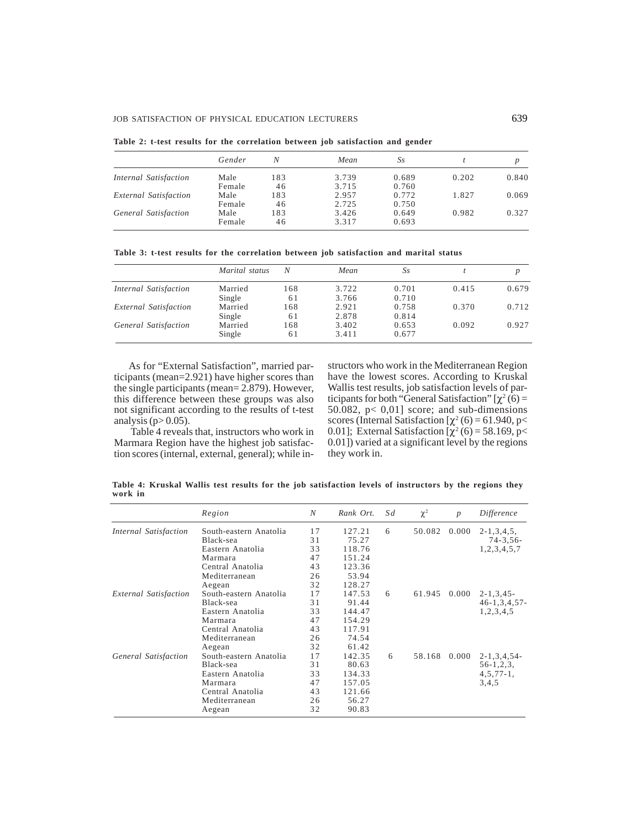| Table 2: t-test results for the correlation between job satisfaction and gender |  |  |  |  |  |  |  |  |  |  |  |  |
|---------------------------------------------------------------------------------|--|--|--|--|--|--|--|--|--|--|--|--|
|---------------------------------------------------------------------------------|--|--|--|--|--|--|--|--|--|--|--|--|

|                              | Gender | N   | Mean  | Ss    |       |       |
|------------------------------|--------|-----|-------|-------|-------|-------|
| Internal Satisfaction        | Male   | 183 | 3.739 | 0.689 | 0.202 | 0.840 |
|                              | Female | 46  | 3.715 | 0.760 |       |       |
| <b>External Satisfaction</b> | Male   | 183 | 2.957 | 0.772 | 1.827 | 0.069 |
|                              | Female | 46  | 2.725 | 0.750 |       |       |
| General Satisfaction         | Male   | 183 | 3.426 | 0.649 | 0.982 | 0.327 |
|                              | Female | 46  | 3.317 | 0.693 |       |       |

**Table 3: t-test results for the correlation between job satisfaction and marital status**

|                              | Marital status | Ν   | Mean  | Ss    |       | D     |
|------------------------------|----------------|-----|-------|-------|-------|-------|
| Internal Satisfaction        | Married        | 168 | 3.722 | 0.701 | 0.415 | 0.679 |
|                              | Single         | 61  | 3.766 | 0.710 |       |       |
| <b>External Satisfaction</b> | Married        | 168 | 2.921 | 0.758 | 0.370 | 0.712 |
|                              | Single         | 61  | 2.878 | 0.814 |       |       |
| General Satisfaction         | Married        | 168 | 3.402 | 0.653 | 0.092 | 0.927 |
|                              | Single         | 61  | 3.411 | 0.677 |       |       |

As for "External Satisfaction", married participants (mean=2.921) have higher scores than the single participants (mean= 2.879). However, this difference between these groups was also not significant according to the results of t-test analysis ( $p$  > 0.05).

Table 4 reveals that, instructors who work in Marmara Region have the highest job satisfaction scores (internal, external, general); while instructors who work in the Mediterranean Region have the lowest scores. According to Kruskal Wallis test results, job satisfaction levels of participants for both "General Satisfaction"  $[\chi^2(6)$  = 50.082, p< 0,01] score; and sub-dimensions scores (Internal Satisfaction  $[\chi^2(6) = 61.940, p<$ 0.01]; External Satisfaction  $[\chi^2(6) = 58.169, p<$ 0.01]) varied at a significant level by the regions they work in.

**Table 4: Kruskal Wallis test results for the job satisfaction levels of instructors by the regions they work in**

|                       | Region                 | N  | Rank Ort. | Sd | $\chi^2$ | p     | Difference        |
|-----------------------|------------------------|----|-----------|----|----------|-------|-------------------|
| Internal Satisfaction | South-eastern Anatolia | 17 | 127.21    | 6  | 50.082   | 0.000 | $2 - 1, 3, 4, 5,$ |
|                       | Black-sea              | 31 | 75.27     |    |          |       | $74 - 3,56$       |
|                       | Eastern Anatolia       | 33 | 118.76    |    |          |       | 1,2,3,4,5,7       |
|                       | Marmara                | 47 | 151.24    |    |          |       |                   |
|                       | Central Anatolia       | 43 | 123.36    |    |          |       |                   |
|                       | Mediterranean          | 26 | 53.94     |    |          |       |                   |
|                       | Aegean                 | 32 | 128.27    |    |          |       |                   |
| External Satisfaction | South-eastern Anatolia | 17 | 147.53    | 6  | 61.945   | 0.000 | $2 - 1, 3, 45$    |
|                       | Black-sea              | 31 | 91.44     |    |          |       | $46-1, 3, 4, 57-$ |
|                       | Eastern Anatolia       | 33 | 144.47    |    |          |       | 1,2,3,4,5         |
|                       | Marmara                | 47 | 154.29    |    |          |       |                   |
|                       | Central Anatolia       | 43 | 117.91    |    |          |       |                   |
|                       | Mediterranean          | 26 | 74.54     |    |          |       |                   |
|                       | Aegean                 | 32 | 61.42     |    |          |       |                   |
| General Satisfaction  | South-eastern Anatolia | 17 | 142.35    | 6  | 58.168   | 0.000 | $2 - 1, 3, 4, 54$ |
|                       | Black-sea              | 31 | 80.63     |    |          |       | $56-1, 2, 3,$     |
|                       | Eastern Anatolia       | 33 | 134.33    |    |          |       | $4, 5, 77-1,$     |
|                       | Marmara                | 47 | 157.05    |    |          |       | 3,4,5             |
|                       | Central Anatolia       | 43 | 121.66    |    |          |       |                   |
|                       | Mediterranean          | 26 | 56.27     |    |          |       |                   |
|                       | Aegean                 | 32 | 90.83     |    |          |       |                   |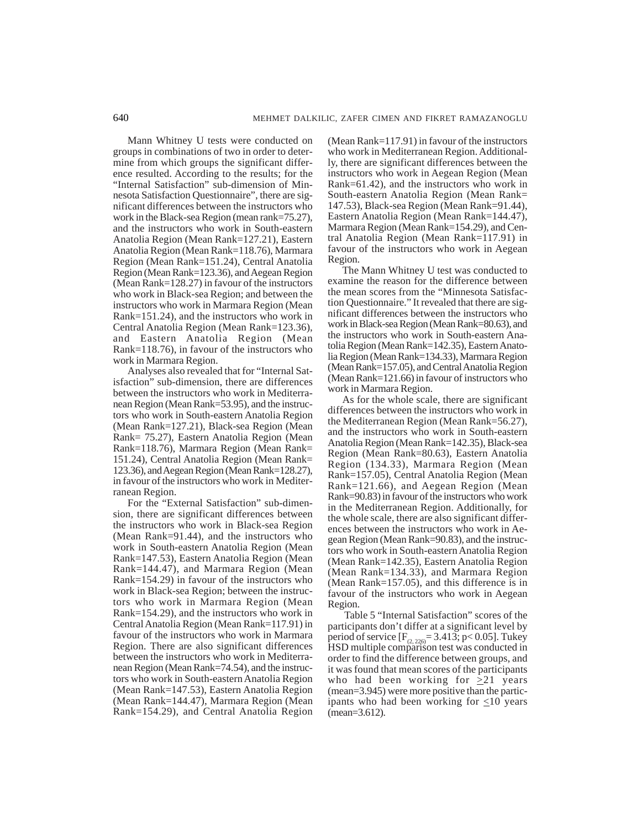Mann Whitney U tests were conducted on groups in combinations of two in order to determine from which groups the significant difference resulted. According to the results; for the "Internal Satisfaction" sub-dimension of Minnesota Satisfaction Questionnaire", there are significant differences between the instructors who work in the Black-sea Region (mean rank=75.27), and the instructors who work in South-eastern Anatolia Region (Mean Rank=127.21), Eastern Anatolia Region (Mean Rank=118.76), Marmara Region (Mean Rank=151.24), Central Anatolia Region (Mean Rank=123.36), and Aegean Region (Mean Rank=128.27) in favour of the instructors who work in Black-sea Region; and between the instructors who work in Marmara Region (Mean Rank=151.24), and the instructors who work in Central Anatolia Region (Mean Rank=123.36), and Eastern Anatolia Region (Mean Rank=118.76), in favour of the instructors who work in Marmara Region.

Analyses also revealed that for "Internal Satisfaction" sub-dimension, there are differences between the instructors who work in Mediterranean Region (Mean Rank=53.95), and the instructors who work in South-eastern Anatolia Region (Mean Rank=127.21), Black-sea Region (Mean Rank= 75.27), Eastern Anatolia Region (Mean Rank=118.76), Marmara Region (Mean Rank= 151.24), Central Anatolia Region (Mean Rank= 123.36), and Aegean Region (Mean Rank=128.27), in favour of the instructors who work in Mediterranean Region.

For the "External Satisfaction" sub-dimension, there are significant differences between the instructors who work in Black-sea Region (Mean Rank=91.44), and the instructors who work in South-eastern Anatolia Region (Mean Rank=147.53), Eastern Anatolia Region (Mean Rank=144.47), and Marmara Region (Mean Rank=154.29) in favour of the instructors who work in Black-sea Region; between the instructors who work in Marmara Region (Mean Rank=154.29), and the instructors who work in Central Anatolia Region (Mean Rank=117.91) in favour of the instructors who work in Marmara Region. There are also significant differences between the instructors who work in Mediterranean Region (Mean Rank=74.54), and the instructors who work in South-eastern Anatolia Region (Mean Rank=147.53), Eastern Anatolia Region (Mean Rank=144.47), Marmara Region (Mean Rank=154.29), and Central Anatolia Region

(Mean Rank=117.91) in favour of the instructors who work in Mediterranean Region. Additionally, there are significant differences between the instructors who work in Aegean Region (Mean Rank=61.42), and the instructors who work in South-eastern Anatolia Region (Mean Rank= 147.53), Black-sea Region (Mean Rank=91.44), Eastern Anatolia Region (Mean Rank=144.47), Marmara Region (Mean Rank=154.29), and Central Anatolia Region (Mean Rank=117.91) in favour of the instructors who work in Aegean Region.

The Mann Whitney U test was conducted to examine the reason for the difference between the mean scores from the "Minnesota Satisfaction Questionnaire." It revealed that there are significant differences between the instructors who work in Black-sea Region (Mean Rank=80.63), and the instructors who work in South-eastern Anatolia Region (Mean Rank=142.35), Eastern Anatolia Region (Mean Rank=134.33), Marmara Region (Mean Rank=157.05), and Central Anatolia Region (Mean Rank=121.66) in favour of instructors who work in Marmara Region.

As for the whole scale, there are significant differences between the instructors who work in the Mediterranean Region (Mean Rank=56.27), and the instructors who work in South-eastern Anatolia Region (Mean Rank=142.35), Black-sea Region (Mean Rank=80.63), Eastern Anatolia Region (134.33), Marmara Region (Mean Rank=157.05), Central Anatolia Region (Mean Rank=121.66), and Aegean Region (Mean Rank=90.83) in favour of the instructors who work in the Mediterranean Region. Additionally, for the whole scale, there are also significant differences between the instructors who work in Aegean Region (Mean Rank=90.83), and the instructors who work in South-eastern Anatolia Region (Mean Rank=142.35), Eastern Anatolia Region (Mean Rank=134.33), and Marmara Region (Mean Rank=157.05), and this difference is in favour of the instructors who work in Aegean Region.

 Table 5 "Internal Satisfaction" scores of the participants don't differ at a significant level by period of service  $[F_{(2, 226)} = 3.413; p< 0.05]$ . Tukey HSD multiple comparison test was conducted in order to find the difference between groups, and it was found that mean scores of the participants who had been working for  $\geq 21$  years (mean=3.945) were more positive than the participants who had been working for  $\leq 10$  years (mean=3.612).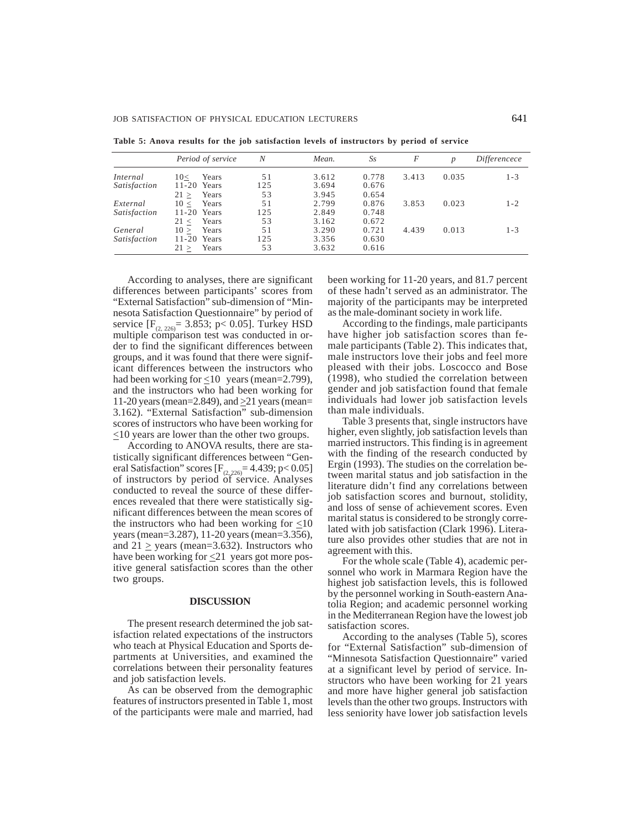|                     | Period of service | N   | Mean. | Ss    | F     | p     | Differencece |
|---------------------|-------------------|-----|-------|-------|-------|-------|--------------|
| Internal            | Years<br>10<      | 51  | 3.612 | 0.778 | 3.413 | 0.035 | $1 - 3$      |
| Satisfaction        | $11-20$ Years     | 125 | 3.694 | 0.676 |       |       |              |
|                     | Years<br>21 >     | 53  | 3.945 | 0.654 |       |       |              |
| External            | 10 <<br>Years     | 51  | 2.799 | 0.876 | 3.853 | 0.023 | $1 - 2$      |
| Satisfaction        | $11-20$ Years     | 125 | 2.849 | 0.748 |       |       |              |
|                     | Years<br>21 <     | 53  | 3.162 | 0.672 |       |       |              |
| General             | Years<br>10 >     | 51  | 3.290 | 0.721 | 4.439 | 0.013 | $1 - 3$      |
| <i>Satisfaction</i> | $11-20$ Years     | 125 | 3.356 | 0.630 |       |       |              |
|                     | Years<br>21 >     | 53  | 3.632 | 0.616 |       |       |              |

**Table 5: Anova results for the job satisfaction levels of instructors by period of service**

According to analyses, there are significant differences between participants' scores from "External Satisfaction" sub-dimension of "Minnesota Satisfaction Questionnaire" by period of service  $[F_{(2, 226)} = 3.853; p < 0.05]$ . Turkey HSD multiple comparison test was conducted in order to find the significant differences between groups, and it was found that there were significant differences between the instructors who had been working for  $\leq 10$  years (mean=2.799), and the instructors who had been working for 11-20 years (mean=2.849), and  $\geq$ 21 years (mean= 3.162). "External Satisfaction" sub-dimension scores of instructors who have been working for  $\leq$ 10 years are lower than the other two groups.

According to ANOVA results, there are statistically significant differences between "General Satisfaction" scores  $[F_{(2,226)} = 4.439; p < 0.05]$ of instructors by period of service. Analyses conducted to reveal the source of these differences revealed that there were statistically significant differences between the mean scores of the instructors who had been working for  $\leq 10$ years (mean=3.287), 11-20 years (mean=3.356), and  $21 \geq$  years (mean=3.632). Instructors who have been working for  $\leq 21$  years got more positive general satisfaction scores than the other two groups.

## **DISCUSSION**

The present research determined the job satisfaction related expectations of the instructors who teach at Physical Education and Sports departments at Universities, and examined the correlations between their personality features and job satisfaction levels.

As can be observed from the demographic features of instructors presented in Table 1, most of the participants were male and married, had been working for 11-20 years, and 81.7 percent of these hadn't served as an administrator. The majority of the participants may be interpreted as the male-dominant society in work life.

According to the findings, male participants have higher job satisfaction scores than female participants (Table 2). This indicates that, male instructors love their jobs and feel more pleased with their jobs. Loscocco and Bose (1998), who studied the correlation between gender and job satisfaction found that female individuals had lower job satisfaction levels than male individuals.

Table 3 presents that, single instructors have higher, even slightly, job satisfaction levels than married instructors. This finding is in agreement with the finding of the research conducted by Ergin (1993). The studies on the correlation between marital status and job satisfaction in the literature didn't find any correlations between job satisfaction scores and burnout, stolidity, and loss of sense of achievement scores. Even marital status is considered to be strongly correlated with job satisfaction (Clark 1996). Literature also provides other studies that are not in agreement with this.

For the whole scale (Table 4), academic personnel who work in Marmara Region have the highest job satisfaction levels, this is followed by the personnel working in South-eastern Anatolia Region; and academic personnel working in the Mediterranean Region have the lowest job satisfaction scores.

According to the analyses (Table 5), scores for "External Satisfaction" sub-dimension of "Minnesota Satisfaction Questionnaire" varied at a significant level by period of service. Instructors who have been working for 21 years and more have higher general job satisfaction levels than the other two groups. Instructors with less seniority have lower job satisfaction levels